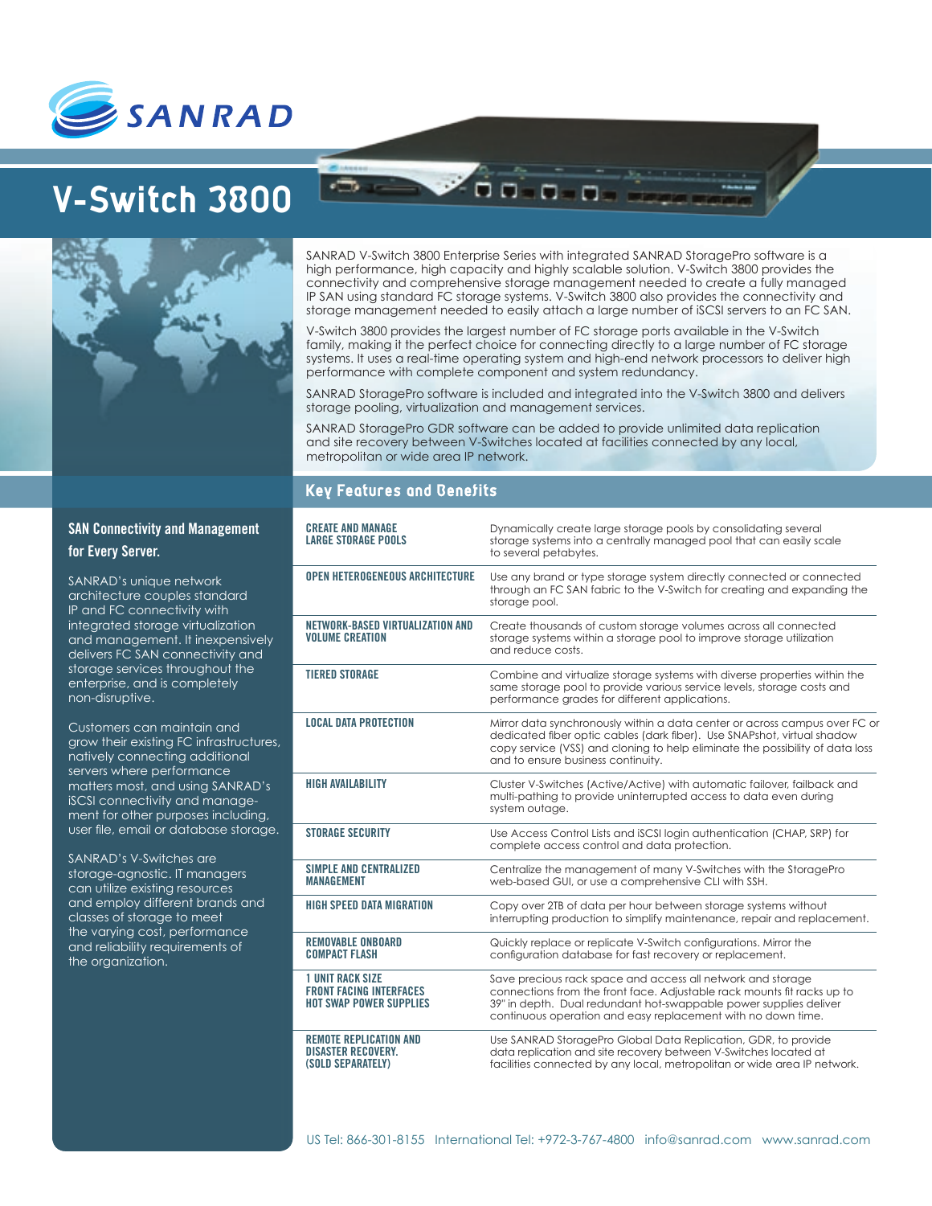

# **V-Switch 3800**

SANRAD V-Switch 3800 Enterprise Series with integrated SANRAD StoragePro software is a high performance, high capacity and highly scalable solution. V-Switch 3800 provides the connectivity and comprehensive storage management needed to create a fully managed IP SAN using standard FC storage systems. V-Switch 3800 also provides the connectivity and storage management needed to easily attach a large number of iSCSI servers to an FC SAN.

00 0 0 0

V-Switch 3800 provides the largest number of FC storage ports available in the V-Switch family, making it the perfect choice for connecting directly to a large number of FC storage systems. It uses a real-time operating system and high-end network processors to deliver high performance with complete component and system redundancy.

SANRAD StoragePro software is included and integrated into the V-Switch 3800 and delivers storage pooling, virtualization and management services.

SANRAD StoragePro GDR software can be added to provide unlimited data replication and site recovery between V-Switches located at facilities connected by any local, metropolitan or wide area IP network.

# **Key Features and Benefits**

| <b>CREATE AND MANAGE</b><br><b>LARGE STORAGE POOLS</b>                                      | Dynamically create large storage pools by consolidating several<br>storage systems into a centrally managed pool that can easily scale<br>to several petabytes.                                                                                                              |
|---------------------------------------------------------------------------------------------|------------------------------------------------------------------------------------------------------------------------------------------------------------------------------------------------------------------------------------------------------------------------------|
| <b>OPEN HETEROGENEOUS ARCHITECTURE</b>                                                      | Use any brand or type storage system directly connected or connected<br>through an FC SAN fabric to the V-Switch for creating and expanding the<br>storage pool.                                                                                                             |
| NETWORK-BASED VIRTUALIZATION AND<br><b>VOLUME CREATION</b>                                  | Create thousands of custom storage volumes across all connected<br>storage systems within a storage pool to improve storage utilization<br>and reduce costs.                                                                                                                 |
| <b>TIERED STORAGE</b>                                                                       | Combine and virtualize storage systems with diverse properties within the<br>same storage pool to provide various service levels, storage costs and<br>performance grades for different applications.                                                                        |
| <b>LOCAL DATA PROTECTION</b>                                                                | Mirror data synchronously within a data center or across campus over FC or<br>dedicated fiber optic cables (dark fiber). Use SNAPshot, virtual shadow<br>copy service (VSS) and cloning to help eliminate the possibility of data loss<br>and to ensure business continuity. |
| <b>HIGH AVAILABILITY</b>                                                                    | Cluster V-Switches (Active/Active) with automatic failover, failback and<br>multi-pathing to provide uninterrupted access to data even during<br>system outage.                                                                                                              |
| <b>STORAGE SECURITY</b>                                                                     | Use Access Control Lists and iSCSI login authentication (CHAP, SRP) for<br>complete access control and data protection.                                                                                                                                                      |
| SIMPLE AND CENTRALIZED<br><b>MANAGEMENT</b>                                                 | Centralize the management of many V-Switches with the StoragePro<br>web-based GUI, or use a comprehensive CLI with SSH.                                                                                                                                                      |
| HIGH SPEED DATA MIGRATION                                                                   | Copy over 2TB of data per hour between storage systems without<br>interrupting production to simplify maintenance, repair and replacement.                                                                                                                                   |
| <b>REMOVABLE ONBOARD</b><br><b>COMPACT FLASH</b>                                            | Quickly replace or replicate V-Switch configurations. Mirror the<br>configuration database for fast recovery or replacement.                                                                                                                                                 |
| <b>1 UNIT RACK SIZE</b><br><b>FRONT FACING INTERFACES</b><br><b>HOT SWAP POWER SUPPLIES</b> | Save precious rack space and access all network and storage<br>connections from the front face. Adjustable rack mounts fit racks up to<br>39" in depth. Dual redundant hot-swappable power supplies deliver<br>continuous operation and easy replacement with no down time.  |
| <b>REMOTE REPLICATION AND</b><br><b>DISASTER RECOVERY.</b><br>(SOLD SEPARATELY)             | Use SANRAD StoragePro Global Data Replication, GDR, to provide<br>data replication and site recovery between V-Switches located at<br>facilities connected by any local, metropolitan or wide area IP network.                                                               |

# **SAN Connectivity and Management for Every Server.**

SANRAD's unique network architecture couples standard IP and FC connectivity with integrated storage virtualization and management. It inexpensively delivers FC SAN connectivity and storage services throughout the enterprise, and is completely non-disruptive.

Customers can maintain and grow their existing FC infrastructures, natively connecting additional servers where performance matters most, and using SANRAD's iSCSI connectivity and management for other purposes including, user file, email or database storage.

SANRAD's V-Switches are storage-agnostic. IT managers can utilize existing resources and employ different brands and classes of storage to meet the varying cost, performance and reliability requirements of the organization.